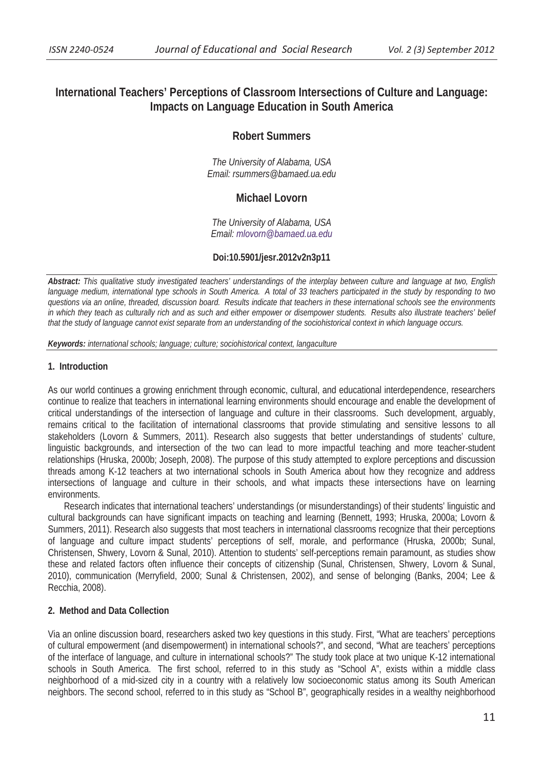# **International Teachers' Perceptions of Classroom Intersections of Culture and Language: Impacts on Language Education in South America**

# **Robert Summers**

*The University of Alabama, USA Email: rsummers@bamaed.ua.edu* 

# **Michael Lovorn**

*The University of Alabama, USA Email: mlovorn@bamaed.ua.edu*

# **Doi:10.5901/jesr.2012v2n3p11**

*Abstract: This qualitative study investigated teachers' understandings of the interplay between culture and language at two, English language medium, international type schools in South America. A total of 33 teachers participated in the study by responding to two questions via an online, threaded, discussion board. Results indicate that teachers in these international schools see the environments in which they teach as culturally rich and as such and either empower or disempower students. Results also illustrate teachers' belief that the study of language cannot exist separate from an understanding of the sociohistorical context in which language occurs.* 

*Keywords: international schools; language; culture; sociohistorical context, langaculture* 

# **1. Introduction**

As our world continues a growing enrichment through economic, cultural, and educational interdependence, researchers continue to realize that teachers in international learning environments should encourage and enable the development of critical understandings of the intersection of language and culture in their classrooms. Such development, arguably, remains critical to the facilitation of international classrooms that provide stimulating and sensitive lessons to all stakeholders (Lovorn & Summers, 2011). Research also suggests that better understandings of students' culture, linguistic backgrounds, and intersection of the two can lead to more impactful teaching and more teacher-student relationships (Hruska, 2000b; Joseph, 2008). The purpose of this study attempted to explore perceptions and discussion threads among K-12 teachers at two international schools in South America about how they recognize and address intersections of language and culture in their schools, and what impacts these intersections have on learning environments.

Research indicates that international teachers' understandings (or misunderstandings) of their students' linguistic and cultural backgrounds can have significant impacts on teaching and learning (Bennett, 1993; Hruska, 2000a; Lovorn & Summers, 2011). Research also suggests that most teachers in international classrooms recognize that their perceptions of language and culture impact students' perceptions of self, morale, and performance (Hruska, 2000b; Sunal, Christensen, Shwery, Lovorn & Sunal, 2010). Attention to students' self-perceptions remain paramount, as studies show these and related factors often influence their concepts of citizenship (Sunal, Christensen, Shwery, Lovorn & Sunal, 2010), communication (Merryfield, 2000; Sunal & Christensen, 2002), and sense of belonging (Banks, 2004; Lee & Recchia, 2008).

# **2. Method and Data Collection**

Via an online discussion board, researchers asked two key questions in this study. First, "What are teachers' perceptions of cultural empowerment (and disempowerment) in international schools?", and second, "What are teachers' perceptions of the interface of language, and culture in international schools?" The study took place at two unique K-12 international schools in South America. The first school, referred to in this study as "School A", exists within a middle class neighborhood of a mid-sized city in a country with a relatively low socioeconomic status among its South American neighbors. The second school, referred to in this study as "School B", geographically resides in a wealthy neighborhood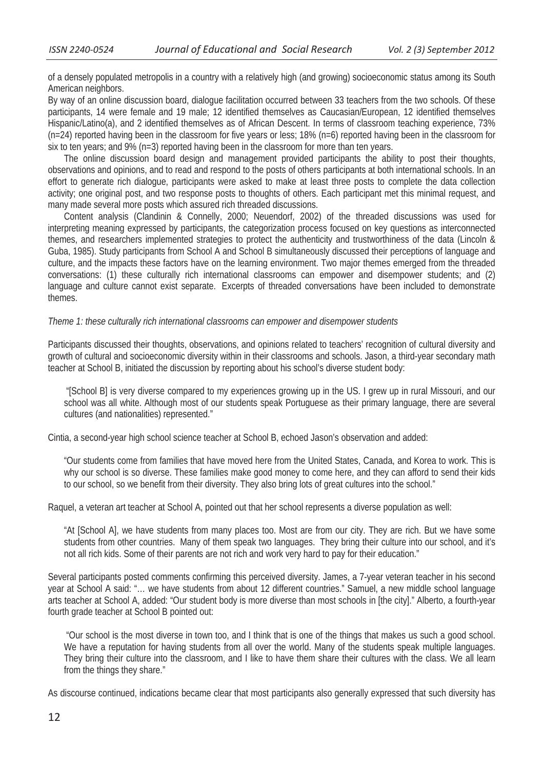of a densely populated metropolis in a country with a relatively high (and growing) socioeconomic status among its South American neighbors.

By way of an online discussion board, dialogue facilitation occurred between 33 teachers from the two schools. Of these participants, 14 were female and 19 male; 12 identified themselves as Caucasian/European, 12 identified themselves Hispanic/Latino(a), and 2 identified themselves as of African Descent. In terms of classroom teaching experience, 73%  $(n=24)$  reported having been in the classroom for five years or less; 18%  $(n=6)$  reported having been in the classroom for six to ten years; and 9% (n=3) reported having been in the classroom for more than ten years.

The online discussion board design and management provided participants the ability to post their thoughts, observations and opinions, and to read and respond to the posts of others participants at both international schools. In an effort to generate rich dialogue, participants were asked to make at least three posts to complete the data collection activity; one original post, and two response posts to thoughts of others. Each participant met this minimal request, and many made several more posts which assured rich threaded discussions.

Content analysis (Clandinin & Connelly, 2000; Neuendorf, 2002) of the threaded discussions was used for interpreting meaning expressed by participants, the categorization process focused on key questions as interconnected themes, and researchers implemented strategies to protect the authenticity and trustworthiness of the data (Lincoln & Guba, 1985). Study participants from School A and School B simultaneously discussed their perceptions of language and culture, and the impacts these factors have on the learning environment. Two major themes emerged from the threaded conversations: (1) these culturally rich international classrooms can empower and disempower students; and (2) language and culture cannot exist separate. Excerpts of threaded conversations have been included to demonstrate themes.

#### *Theme 1: these culturally rich international classrooms can empower and disempower students*

Participants discussed their thoughts, observations, and opinions related to teachers' recognition of cultural diversity and growth of cultural and socioeconomic diversity within in their classrooms and schools. Jason, a third-year secondary math teacher at School B, initiated the discussion by reporting about his school's diverse student body:

 "[School B] is very diverse compared to my experiences growing up in the US. I grew up in rural Missouri, and our school was all white. Although most of our students speak Portuguese as their primary language, there are several cultures (and nationalities) represented."

Cintia, a second-year high school science teacher at School B, echoed Jason's observation and added:

"Our students come from families that have moved here from the United States, Canada, and Korea to work. This is why our school is so diverse. These families make good money to come here, and they can afford to send their kids to our school, so we benefit from their diversity. They also bring lots of great cultures into the school."

Raquel, a veteran art teacher at School A, pointed out that her school represents a diverse population as well:

"At [School A], we have students from many places too. Most are from our city. They are rich. But we have some students from other countries. Many of them speak two languages. They bring their culture into our school, and it's not all rich kids. Some of their parents are not rich and work very hard to pay for their education."

Several participants posted comments confirming this perceived diversity. James, a 7-year veteran teacher in his second year at School A said: "… we have students from about 12 different countries." Samuel, a new middle school language arts teacher at School A, added: "Our student body is more diverse than most schools in [the city]." Alberto, a fourth-year fourth grade teacher at School B pointed out:

 "Our school is the most diverse in town too, and I think that is one of the things that makes us such a good school. We have a reputation for having students from all over the world. Many of the students speak multiple languages. They bring their culture into the classroom, and I like to have them share their cultures with the class. We all learn from the things they share."

As discourse continued, indications became clear that most participants also generally expressed that such diversity has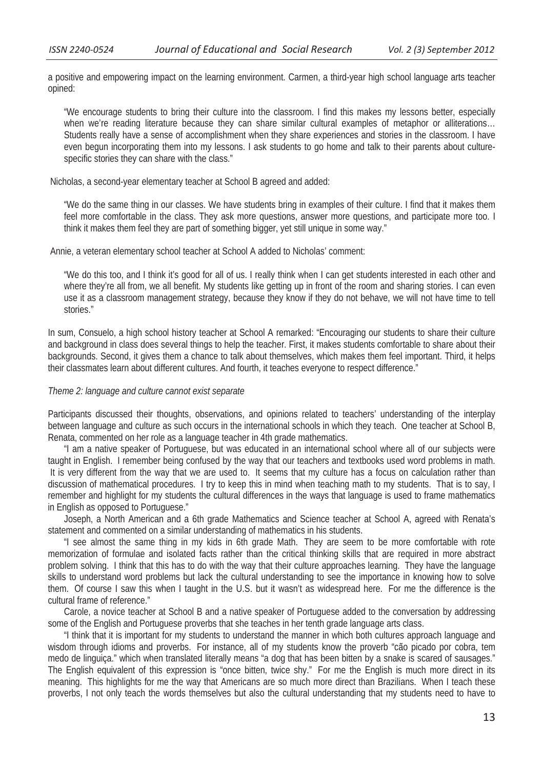a positive and empowering impact on the learning environment. Carmen, a third-year high school language arts teacher opined:

"We encourage students to bring their culture into the classroom. I find this makes my lessons better, especially when we're reading literature because they can share similar cultural examples of metaphor or alliterations... Students really have a sense of accomplishment when they share experiences and stories in the classroom. I have even begun incorporating them into my lessons. I ask students to go home and talk to their parents about culturespecific stories they can share with the class."

Nicholas, a second-year elementary teacher at School B agreed and added:

"We do the same thing in our classes. We have students bring in examples of their culture. I find that it makes them feel more comfortable in the class. They ask more questions, answer more questions, and participate more too. I think it makes them feel they are part of something bigger, yet still unique in some way."

Annie, a veteran elementary school teacher at School A added to Nicholas' comment:

"We do this too, and I think it's good for all of us. I really think when I can get students interested in each other and where they're all from, we all benefit. My students like getting up in front of the room and sharing stories. I can even use it as a classroom management strategy, because they know if they do not behave, we will not have time to tell stories."

In sum, Consuelo, a high school history teacher at School A remarked: "Encouraging our students to share their culture and background in class does several things to help the teacher. First, it makes students comfortable to share about their backgrounds. Second, it gives them a chance to talk about themselves, which makes them feel important. Third, it helps their classmates learn about different cultures. And fourth, it teaches everyone to respect difference."

# *Theme 2: language and culture cannot exist separate*

Participants discussed their thoughts, observations, and opinions related to teachers' understanding of the interplay between language and culture as such occurs in the international schools in which they teach. One teacher at School B, Renata, commented on her role as a language teacher in 4th grade mathematics.

"I am a native speaker of Portuguese, but was educated in an international school where all of our subjects were taught in English. I remember being confused by the way that our teachers and textbooks used word problems in math. It is very different from the way that we are used to. It seems that my culture has a focus on calculation rather than discussion of mathematical procedures. I try to keep this in mind when teaching math to my students. That is to say, I remember and highlight for my students the cultural differences in the ways that language is used to frame mathematics in English as opposed to Portuguese."

Joseph, a North American and a 6th grade Mathematics and Science teacher at School A, agreed with Renata's statement and commented on a similar understanding of mathematics in his students.

"I see almost the same thing in my kids in 6th grade Math. They are seem to be more comfortable with rote memorization of formulae and isolated facts rather than the critical thinking skills that are required in more abstract problem solving. I think that this has to do with the way that their culture approaches learning. They have the language skills to understand word problems but lack the cultural understanding to see the importance in knowing how to solve them. Of course I saw this when I taught in the U.S. but it wasn't as widespread here. For me the difference is the cultural frame of reference."

Carole, a novice teacher at School B and a native speaker of Portuguese added to the conversation by addressing some of the English and Portuguese proverbs that she teaches in her tenth grade language arts class.

"I think that it is important for my students to understand the manner in which both cultures approach language and wisdom through idioms and proverbs. For instance, all of my students know the proverb "cão picado por cobra, tem medo de linguiça." which when translated literally means "a dog that has been bitten by a snake is scared of sausages." The English equivalent of this expression is "once bitten, twice shy." For me the English is much more direct in its meaning. This highlights for me the way that Americans are so much more direct than Brazilians. When I teach these proverbs, I not only teach the words themselves but also the cultural understanding that my students need to have to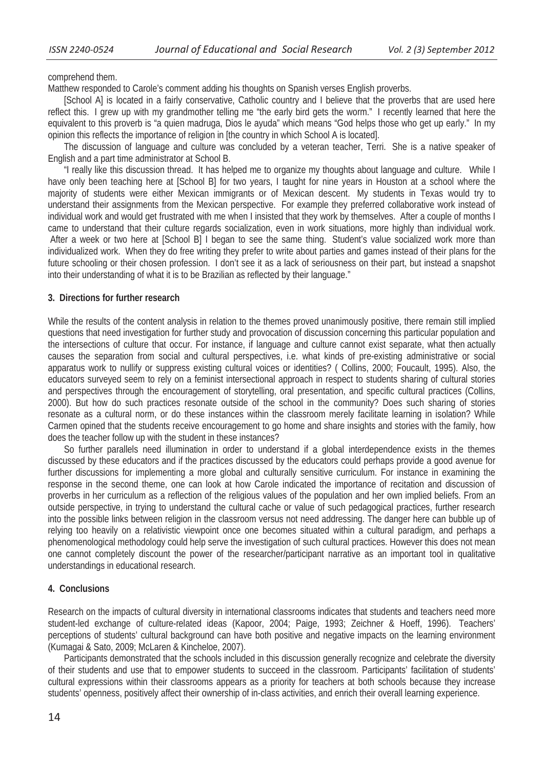comprehend them.

Matthew responded to Carole's comment adding his thoughts on Spanish verses English proverbs.

[School A] is located in a fairly conservative, Catholic country and I believe that the proverbs that are used here reflect this. I grew up with my grandmother telling me "the early bird gets the worm." I recently learned that here the equivalent to this proverb is "a quien madruga, Dios le ayuda" which means "God helps those who get up early." In my opinion this reflects the importance of religion in [the country in which School A is located].

The discussion of language and culture was concluded by a veteran teacher, Terri. She is a native speaker of English and a part time administrator at School B.

"I really like this discussion thread. It has helped me to organize my thoughts about language and culture. While I have only been teaching here at [School B] for two years, I taught for nine years in Houston at a school where the majority of students were either Mexican immigrants or of Mexican descent. My students in Texas would try to understand their assignments from the Mexican perspective. For example they preferred collaborative work instead of individual work and would get frustrated with me when I insisted that they work by themselves. After a couple of months I came to understand that their culture regards socialization, even in work situations, more highly than individual work. After a week or two here at [School B] I began to see the same thing. Student's value socialized work more than individualized work. When they do free writing they prefer to write about parties and games instead of their plans for the future schooling or their chosen profession. I don't see it as a lack of seriousness on their part, but instead a snapshot into their understanding of what it is to be Brazilian as reflected by their language."

# **3. Directions for further research**

While the results of the content analysis in relation to the themes proved unanimously positive, there remain still implied questions that need investigation for further study and provocation of discussion concerning this particular population and the intersections of culture that occur. For instance, if language and culture cannot exist separate, what then actually causes the separation from social and cultural perspectives, i.e. what kinds of pre-existing administrative or social apparatus work to nullify or suppress existing cultural voices or identities? ( Collins, 2000; Foucault, 1995). Also, the educators surveyed seem to rely on a feminist intersectional approach in respect to students sharing of cultural stories and perspectives through the encouragement of storytelling, oral presentation, and specific cultural practices (Collins, 2000). But how do such practices resonate outside of the school in the community? Does such sharing of stories resonate as a cultural norm, or do these instances within the classroom merely facilitate learning in isolation? While Carmen opined that the students receive encouragement to go home and share insights and stories with the family, how does the teacher follow up with the student in these instances?

So further parallels need illumination in order to understand if a global interdependence exists in the themes discussed by these educators and if the practices discussed by the educators could perhaps provide a good avenue for further discussions for implementing a more global and culturally sensitive curriculum. For instance in examining the response in the second theme, one can look at how Carole indicated the importance of recitation and discussion of proverbs in her curriculum as a reflection of the religious values of the population and her own implied beliefs. From an outside perspective, in trying to understand the cultural cache or value of such pedagogical practices, further research into the possible links between religion in the classroom versus not need addressing. The danger here can bubble up of relying too heavily on a relativistic viewpoint once one becomes situated within a cultural paradigm, and perhaps a phenomenological methodology could help serve the investigation of such cultural practices. However this does not mean one cannot completely discount the power of the researcher/participant narrative as an important tool in qualitative understandings in educational research.

# **4. Conclusions**

Research on the impacts of cultural diversity in international classrooms indicates that students and teachers need more student-led exchange of culture-related ideas (Kapoor, 2004; Paige, 1993; Zeichner & Hoeff, 1996). Teachers' perceptions of students' cultural background can have both positive and negative impacts on the learning environment (Kumagai & Sato, 2009; McLaren & Kincheloe, 2007).

Participants demonstrated that the schools included in this discussion generally recognize and celebrate the diversity of their students and use that to empower students to succeed in the classroom. Participants' facilitation of students' cultural expressions within their classrooms appears as a priority for teachers at both schools because they increase students' openness, positively affect their ownership of in-class activities, and enrich their overall learning experience.